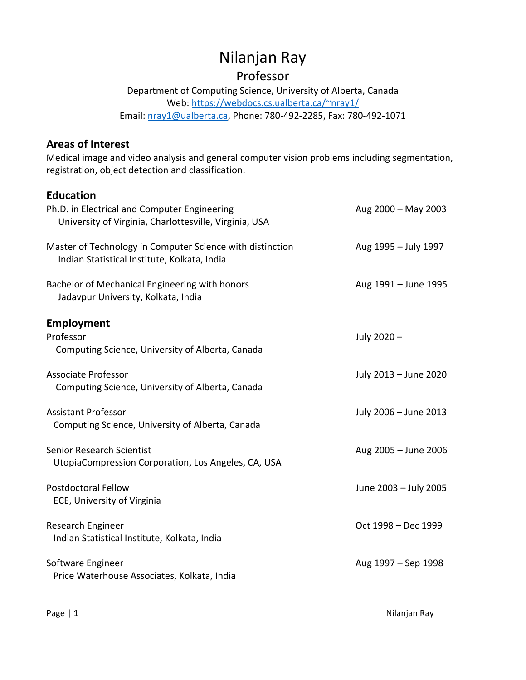# Nilanjan Ray

## Professor

Department of Computing Science, University of Alberta, Canada Web:<https://webdocs.cs.ualberta.ca/~nray1/> Email: [nray1@ualberta.ca,](mailto:nray1@ualberta.ca) Phone: 780-492-2285, Fax: 780-492-1071

### **Areas of Interest**

Medical image and video analysis and general computer vision problems including segmentation, registration, object detection and classification.

## **Education**

| Ph.D. in Electrical and Computer Engineering<br>University of Virginia, Charlottesville, Virginia, USA    | Aug 2000 - May 2003   |
|-----------------------------------------------------------------------------------------------------------|-----------------------|
| Master of Technology in Computer Science with distinction<br>Indian Statistical Institute, Kolkata, India | Aug 1995 - July 1997  |
| Bachelor of Mechanical Engineering with honors<br>Jadavpur University, Kolkata, India                     | Aug 1991 - June 1995  |
| <b>Employment</b><br>Professor<br>Computing Science, University of Alberta, Canada                        | July 2020-            |
| <b>Associate Professor</b><br>Computing Science, University of Alberta, Canada                            | July 2013 - June 2020 |
| <b>Assistant Professor</b><br>Computing Science, University of Alberta, Canada                            | July 2006 - June 2013 |
| Senior Research Scientist<br>UtopiaCompression Corporation, Los Angeles, CA, USA                          | Aug 2005 - June 2006  |
| <b>Postdoctoral Fellow</b><br>ECE, University of Virginia                                                 | June 2003 - July 2005 |
| Research Engineer<br>Indian Statistical Institute, Kolkata, India                                         | Oct 1998 - Dec 1999   |
| Software Engineer<br>Price Waterhouse Associates, Kolkata, India                                          | Aug 1997 - Sep 1998   |
|                                                                                                           |                       |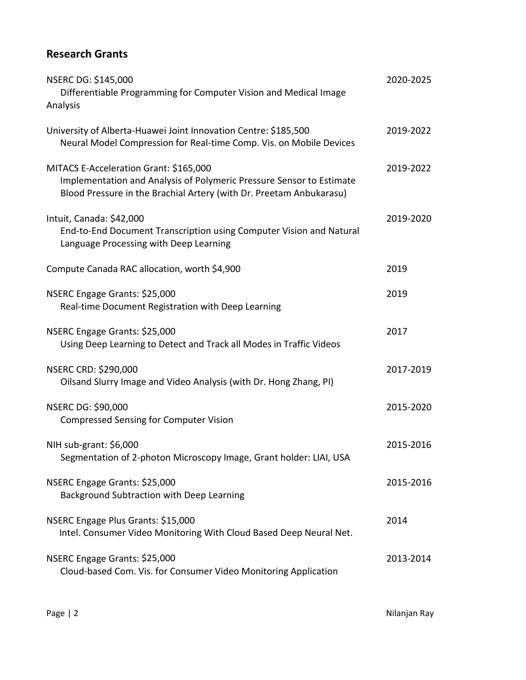## **Research Grants**

| NSERC DG: \$145,000<br>Differentiable Programming for Computer Vision and Medical Image<br>Analysis                                                                                   | 2020-2025 |
|---------------------------------------------------------------------------------------------------------------------------------------------------------------------------------------|-----------|
| University of Alberta-Huawei Joint Innovation Centre: \$185,500<br>Neural Model Compression for Real-time Comp. Vis. on Mobile Devices                                                | 2019-2022 |
| MITACS E-Acceleration Grant: \$165,000<br>Implementation and Analysis of Polymeric Pressure Sensor to Estimate<br>Blood Pressure in the Brachial Artery (with Dr. Preetam Anbukarasu) | 2019-2022 |
| Intuit, Canada: \$42,000<br>End-to-End Document Transcription using Computer Vision and Natural<br>Language Processing with Deep Learning                                             | 2019-2020 |
| Compute Canada RAC allocation, worth \$4,900                                                                                                                                          | 2019      |
| NSERC Engage Grants: \$25,000<br>Real-time Document Registration with Deep Learning                                                                                                   | 2019      |
| NSERC Engage Grants: \$25,000<br>Using Deep Learning to Detect and Track all Modes in Traffic Videos                                                                                  | 2017      |
| NSERC CRD: \$290,000<br>Oilsand Slurry Image and Video Analysis (with Dr. Hong Zhang, PI)                                                                                             | 2017-2019 |
| NSERC DG: \$90,000<br><b>Compressed Sensing for Computer Vision</b>                                                                                                                   | 2015-2020 |
| NIH sub-grant: \$6,000<br>Segmentation of 2-photon Microscopy Image, Grant holder: LIAI, USA                                                                                          | 2015-2016 |
| NSERC Engage Grants: \$25,000<br>Background Subtraction with Deep Learning                                                                                                            | 2015-2016 |
| NSERC Engage Plus Grants: \$15,000<br>Intel. Consumer Video Monitoring With Cloud Based Deep Neural Net.                                                                              | 2014      |
| NSERC Engage Grants: \$25,000<br>Cloud-based Com. Vis. for Consumer Video Monitoring Application                                                                                      | 2013-2014 |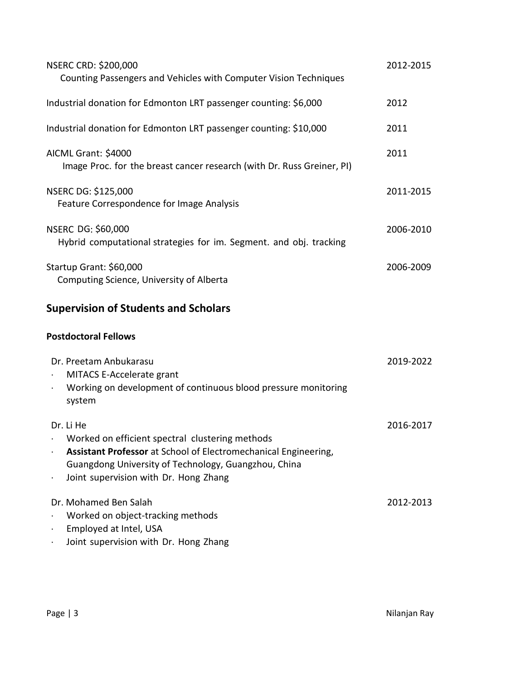| <b>NSERC CRD: \$200,000</b><br>Counting Passengers and Vehicles with Computer Vision Techniques                                                                                                                                  | 2012-2015 |
|----------------------------------------------------------------------------------------------------------------------------------------------------------------------------------------------------------------------------------|-----------|
| Industrial donation for Edmonton LRT passenger counting: \$6,000                                                                                                                                                                 | 2012      |
| Industrial donation for Edmonton LRT passenger counting: \$10,000                                                                                                                                                                | 2011      |
| AICML Grant: \$4000<br>Image Proc. for the breast cancer research (with Dr. Russ Greiner, PI)                                                                                                                                    | 2011      |
| NSERC DG: \$125,000<br>Feature Correspondence for Image Analysis                                                                                                                                                                 | 2011-2015 |
| <b>NSERC DG: \$60,000</b><br>Hybrid computational strategies for im. Segment. and obj. tracking                                                                                                                                  | 2006-2010 |
| Startup Grant: \$60,000<br>Computing Science, University of Alberta                                                                                                                                                              | 2006-2009 |
| <b>Supervision of Students and Scholars</b>                                                                                                                                                                                      |           |
| <b>Postdoctoral Fellows</b>                                                                                                                                                                                                      |           |
| Dr. Preetam Anbukarasu<br>MITACS E-Accelerate grant<br>Working on development of continuous blood pressure monitoring<br>system                                                                                                  | 2019-2022 |
| Dr. Li He<br>Worked on efficient spectral clustering methods<br>Assistant Professor at School of Electromechanical Engineering,<br>Guangdong University of Technology, Guangzhou, China<br>Joint supervision with Dr. Hong Zhang | 2016-2017 |
| Dr. Mohamed Ben Salah<br>Worked on object-tracking methods<br>Employed at Intel, USA<br>Joint supervision with Dr. Hong Zhang                                                                                                    | 2012-2013 |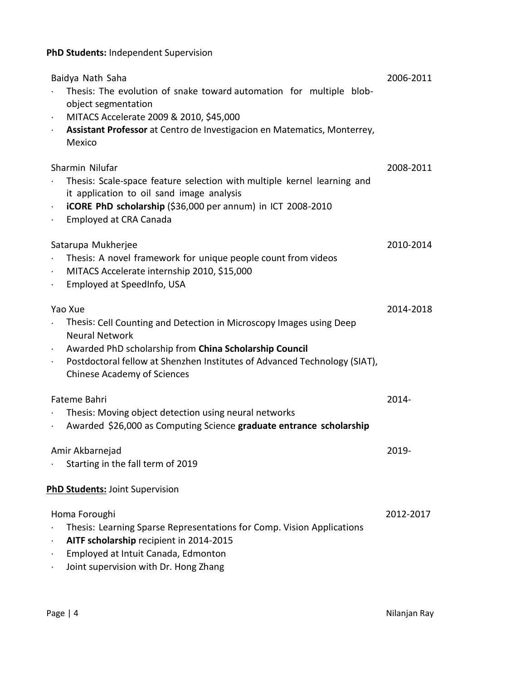### **PhD Students:** Independent Supervision

| Baidya Nath Saha<br>Thesis: The evolution of snake toward automation for multiple blob-<br>object segmentation<br>MITACS Accelerate 2009 & 2010, \$45,000<br>$\cdot$<br>Assistant Professor at Centro de Investigacion en Matematics, Monterrey,<br>$\bullet$<br>Mexico              | 2006-2011 |  |
|--------------------------------------------------------------------------------------------------------------------------------------------------------------------------------------------------------------------------------------------------------------------------------------|-----------|--|
| Sharmin Nilufar<br>Thesis: Scale-space feature selection with multiple kernel learning and<br>it application to oil sand image analysis<br>iCORE PhD scholarship (\$36,000 per annum) in ICT 2008-2010<br>Employed at CRA Canada                                                     | 2008-2011 |  |
| Satarupa Mukherjee<br>Thesis: A novel framework for unique people count from videos<br>MITACS Accelerate internship 2010, \$15,000<br>$\ddot{\phantom{0}}$<br>Employed at SpeedInfo, USA                                                                                             | 2010-2014 |  |
| Yao Xue<br>Thesis: Cell Counting and Detection in Microscopy Images using Deep<br><b>Neural Network</b><br>Awarded PhD scholarship from China Scholarship Council<br>Postdoctoral fellow at Shenzhen Institutes of Advanced Technology (SIAT),<br><b>Chinese Academy of Sciences</b> | 2014-2018 |  |
| Fateme Bahri<br>Thesis: Moving object detection using neural networks<br>Awarded \$26,000 as Computing Science graduate entrance scholarship                                                                                                                                         | 2014-     |  |
| Amir Akbarneiad<br>Starting in the fall term of 2019                                                                                                                                                                                                                                 | 2019-     |  |
| PhD Students: Joint Supervision                                                                                                                                                                                                                                                      |           |  |
| Homa Foroughi<br>Thesis: Learning Sparse Representations for Comp. Vision Applications<br>AITF scholarship recipient in 2014-2015<br>Employed at Intuit Canada, Edmonton<br>Joint supervision with Dr. Hong Zhang                                                                    | 2012-2017 |  |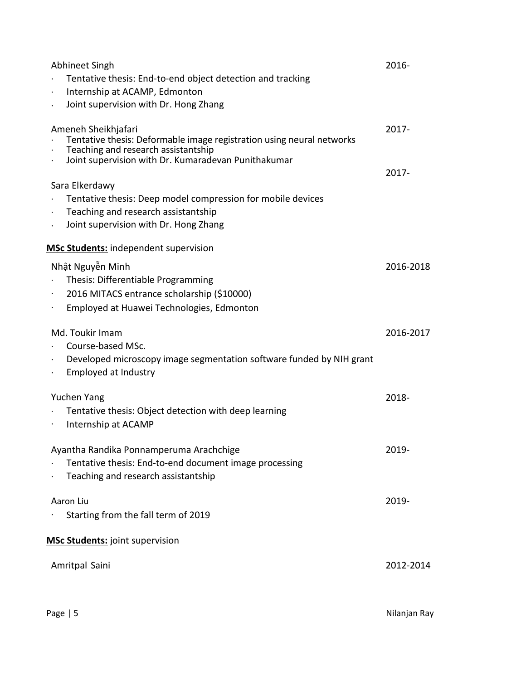| Abhineet Singh                                                                             | 2016-     |
|--------------------------------------------------------------------------------------------|-----------|
| Tentative thesis: End-to-end object detection and tracking                                 |           |
| Internship at ACAMP, Edmonton<br>$\bullet$                                                 |           |
| Joint supervision with Dr. Hong Zhang                                                      |           |
| Ameneh Sheikhjafari                                                                        | $2017 -$  |
| Tentative thesis: Deformable image registration using neural networks                      |           |
| Teaching and research assistantship<br>Joint supervision with Dr. Kumaradevan Punithakumar | $2017 -$  |
| Sara Elkerdawy                                                                             |           |
| Tentative thesis: Deep model compression for mobile devices                                |           |
| Teaching and research assistantship                                                        |           |
| Joint supervision with Dr. Hong Zhang                                                      |           |
| <b>MSc Students:</b> independent supervision                                               |           |
| Nhật Nguyễn Minh                                                                           | 2016-2018 |
| Thesis: Differentiable Programming                                                         |           |
| 2016 MITACS entrance scholarship (\$10000)                                                 |           |
| Employed at Huawei Technologies, Edmonton                                                  |           |
| Md. Toukir Imam                                                                            | 2016-2017 |
| Course-based MSc.                                                                          |           |
| Developed microscopy image segmentation software funded by NIH grant                       |           |
| <b>Employed at Industry</b>                                                                |           |
| Yuchen Yang                                                                                | 2018-     |
| Tentative thesis: Object detection with deep learning                                      |           |
| Internship at ACAMP                                                                        |           |
| Ayantha Randika Ponnamperuma Arachchige                                                    | 2019-     |
| Tentative thesis: End-to-end document image processing                                     |           |
| Teaching and research assistantship                                                        |           |
|                                                                                            |           |
| Aaron Liu                                                                                  | 2019-     |
| Starting from the fall term of 2019                                                        |           |
| <b>MSc Students:</b> joint supervision                                                     |           |
| Amritpal Saini                                                                             | 2012-2014 |
|                                                                                            |           |
|                                                                                            |           |
|                                                                                            |           |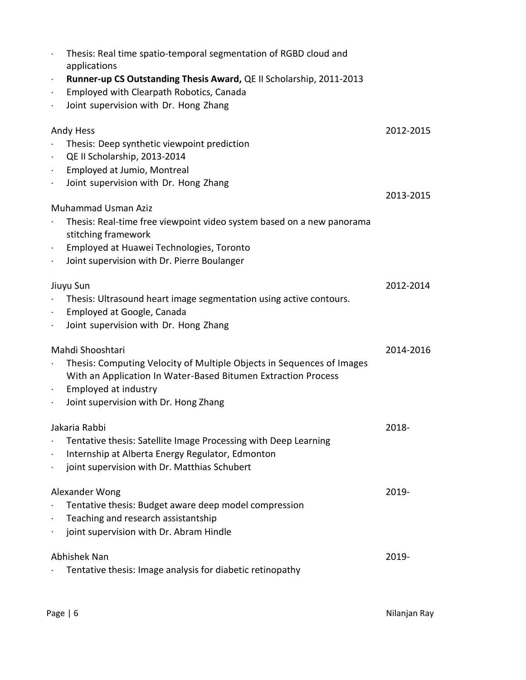| Thesis: Real time spatio-temporal segmentation of RGBD cloud and<br>$\bullet$<br>applications                                                                                                   |           |
|-------------------------------------------------------------------------------------------------------------------------------------------------------------------------------------------------|-----------|
| Runner-up CS Outstanding Thesis Award, QE II Scholarship, 2011-2013<br>$\bullet$<br>Employed with Clearpath Robotics, Canada<br>$\bullet$<br>Joint supervision with Dr. Hong Zhang<br>$\bullet$ |           |
| <b>Andy Hess</b>                                                                                                                                                                                | 2012-2015 |
| Thesis: Deep synthetic viewpoint prediction                                                                                                                                                     |           |
| QE II Scholarship, 2013-2014<br>$\bullet$                                                                                                                                                       |           |
| Employed at Jumio, Montreal<br>$\bullet$                                                                                                                                                        |           |
| Joint supervision with Dr. Hong Zhang<br>$\bullet$                                                                                                                                              | 2013-2015 |
| <b>Muhammad Usman Aziz</b>                                                                                                                                                                      |           |
| Thesis: Real-time free viewpoint video system based on a new panorama<br>stitching framework                                                                                                    |           |
| Employed at Huawei Technologies, Toronto<br>$\bullet$                                                                                                                                           |           |
| Joint supervision with Dr. Pierre Boulanger<br>$\bullet$                                                                                                                                        |           |
| Jiuyu Sun                                                                                                                                                                                       | 2012-2014 |
| Thesis: Ultrasound heart image segmentation using active contours.                                                                                                                              |           |
| Employed at Google, Canada<br>$\bullet$                                                                                                                                                         |           |
| Joint supervision with Dr. Hong Zhang<br>$\bullet$                                                                                                                                              |           |
| Mahdi Shooshtari                                                                                                                                                                                | 2014-2016 |
| Thesis: Computing Velocity of Multiple Objects in Sequences of Images                                                                                                                           |           |
| With an Application In Water-Based Bitumen Extraction Process                                                                                                                                   |           |
| Employed at industry<br>$\bullet$                                                                                                                                                               |           |
| Joint supervision with Dr. Hong Zhang                                                                                                                                                           |           |
| Jakaria Rabhi                                                                                                                                                                                   | 2018-     |
| Tentative thesis: Satellite Image Processing with Deep Learning                                                                                                                                 |           |
| Internship at Alberta Energy Regulator, Edmonton<br>$\bullet$                                                                                                                                   |           |
| joint supervision with Dr. Matthias Schubert<br>$\bullet$                                                                                                                                       |           |
| Alexander Wong                                                                                                                                                                                  | 2019-     |
| Tentative thesis: Budget aware deep model compression                                                                                                                                           |           |
| Teaching and research assistantship                                                                                                                                                             |           |
| joint supervision with Dr. Abram Hindle                                                                                                                                                         |           |
| Abhishek Nan                                                                                                                                                                                    | 2019-     |
| Tentative thesis: Image analysis for diabetic retinopathy                                                                                                                                       |           |
|                                                                                                                                                                                                 |           |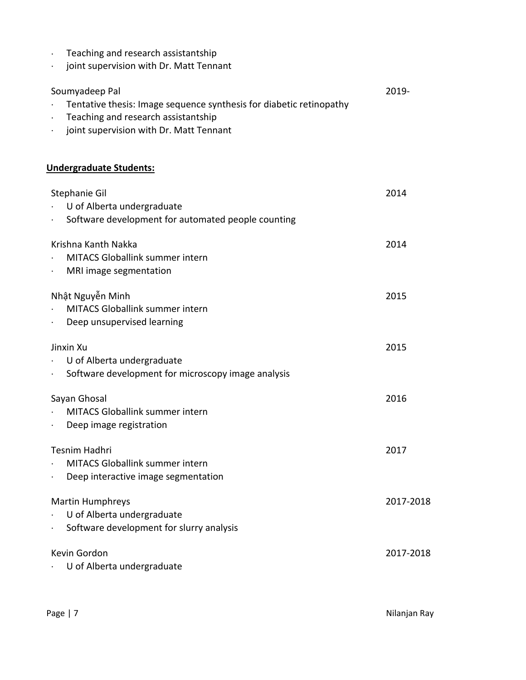- Teaching and research assistantship
- joint supervision with Dr. Matt Tennant

| Soumyadeep Pal                                                      | 2019- |
|---------------------------------------------------------------------|-------|
| Tentative thesis: Image sequence synthesis for diabetic retinopathy |       |
| Teaching and research assistantship                                 |       |

joint supervision with Dr. Matt Tennant

### **Undergraduate Students:**

| Stephanie Gil<br>U of Alberta undergraduate<br>Software development for automated people counting<br>$\bullet$ | 2014      |
|----------------------------------------------------------------------------------------------------------------|-----------|
| Krishna Kanth Nakka<br>MITACS Globallink summer intern<br>MRI image segmentation                               | 2014      |
| Nhật Nguyễn Minh<br><b>MITACS Globallink summer intern</b><br>Deep unsupervised learning<br>$\bullet$          | 2015      |
| Jinxin Xu<br>U of Alberta undergraduate<br>Software development for microscopy image analysis<br>$\bullet$     | 2015      |
| Sayan Ghosal<br><b>MITACS Globallink summer intern</b><br>Deep image registration<br>$\bullet$                 | 2016      |
| Tesnim Hadhri<br><b>MITACS Globallink summer intern</b><br>Deep interactive image segmentation                 | 2017      |
| <b>Martin Humphreys</b><br>U of Alberta undergraduate<br>$\bullet$<br>Software development for slurry analysis | 2017-2018 |
| Kevin Gordon<br>U of Alberta undergraduate                                                                     | 2017-2018 |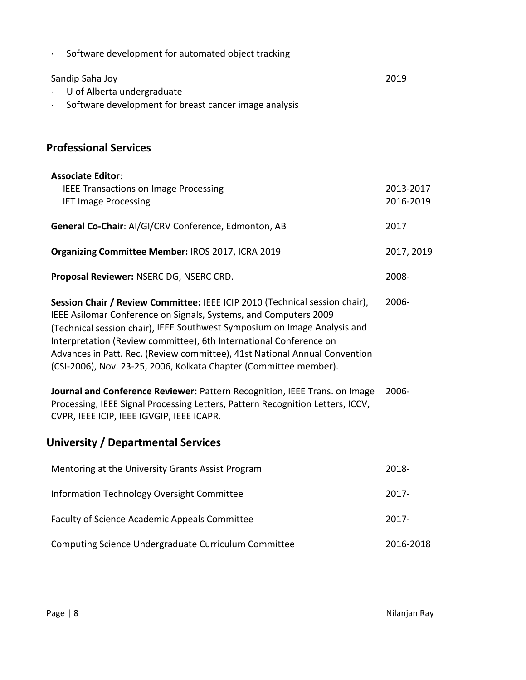| Software development for automated object tracking                                                                                                                                                                                                                                                                                                                                                                                                    |                        |
|-------------------------------------------------------------------------------------------------------------------------------------------------------------------------------------------------------------------------------------------------------------------------------------------------------------------------------------------------------------------------------------------------------------------------------------------------------|------------------------|
| Sandip Saha Joy<br>U of Alberta undergraduate<br>Software development for breast cancer image analysis                                                                                                                                                                                                                                                                                                                                                | 2019                   |
| <b>Professional Services</b>                                                                                                                                                                                                                                                                                                                                                                                                                          |                        |
| <b>Associate Editor:</b><br><b>IEEE Transactions on Image Processing</b><br><b>IET Image Processing</b>                                                                                                                                                                                                                                                                                                                                               | 2013-2017<br>2016-2019 |
| General Co-Chair: AI/GI/CRV Conference, Edmonton, AB                                                                                                                                                                                                                                                                                                                                                                                                  | 2017                   |
| Organizing Committee Member: IROS 2017, ICRA 2019                                                                                                                                                                                                                                                                                                                                                                                                     | 2017, 2019             |
| Proposal Reviewer: NSERC DG, NSERC CRD.                                                                                                                                                                                                                                                                                                                                                                                                               | 2008-                  |
| Session Chair / Review Committee: IEEE ICIP 2010 (Technical session chair),<br>IEEE Asilomar Conference on Signals, Systems, and Computers 2009<br>(Technical session chair), IEEE Southwest Symposium on Image Analysis and<br>Interpretation (Review committee), 6th International Conference on<br>Advances in Patt. Rec. (Review committee), 41st National Annual Convention<br>(CSI-2006), Nov. 23-25, 2006, Kolkata Chapter (Committee member). | 2006-                  |
| Journal and Conference Reviewer: Pattern Recognition, IEEE Trans. on Image<br>Processing, IEEE Signal Processing Letters, Pattern Recognition Letters, ICCV,<br>CVPR, IEEE ICIP, IEEE IGVGIP, IEEE ICAPR.                                                                                                                                                                                                                                             | 2006-                  |
| <b>University / Departmental Services</b>                                                                                                                                                                                                                                                                                                                                                                                                             |                        |
| Mentoring at the University Grants Assist Program                                                                                                                                                                                                                                                                                                                                                                                                     | 2018-                  |
| Information Technology Oversight Committee                                                                                                                                                                                                                                                                                                                                                                                                            | 2017-                  |
| Faculty of Science Academic Appeals Committee                                                                                                                                                                                                                                                                                                                                                                                                         | 2017-                  |
| Computing Science Undergraduate Curriculum Committee                                                                                                                                                                                                                                                                                                                                                                                                  | 2016-2018              |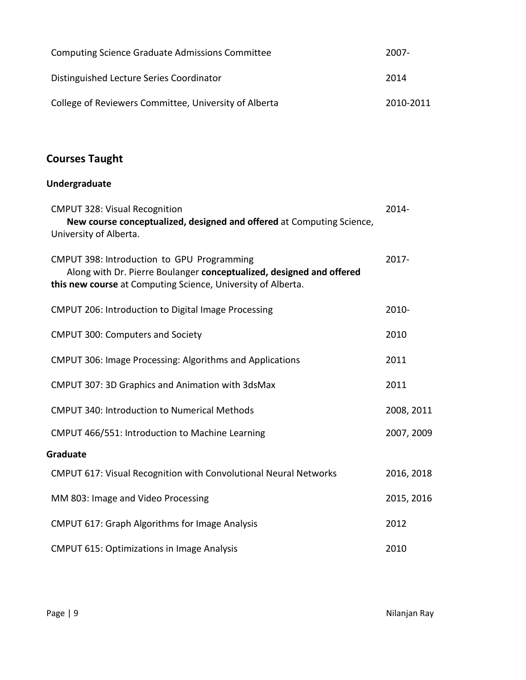| <b>Computing Science Graduate Admissions Committee</b> | 2007-     |
|--------------------------------------------------------|-----------|
| Distinguished Lecture Series Coordinator               | 2014      |
| College of Reviewers Committee, University of Alberta  | 2010-2011 |

## **Courses Taught**

## **Undergraduate**

| <b>CMPUT 328: Visual Recognition</b><br>New course conceptualized, designed and offered at Computing Science,<br>University of Alberta.                                            | 2014-      |
|------------------------------------------------------------------------------------------------------------------------------------------------------------------------------------|------------|
| CMPUT 398: Introduction to GPU Programming<br>Along with Dr. Pierre Boulanger conceptualized, designed and offered<br>this new course at Computing Science, University of Alberta. | 2017-      |
| CMPUT 206: Introduction to Digital Image Processing                                                                                                                                | 2010-      |
| <b>CMPUT 300: Computers and Society</b>                                                                                                                                            | 2010       |
| <b>CMPUT 306: Image Processing: Algorithms and Applications</b>                                                                                                                    | 2011       |
| <b>CMPUT 307: 3D Graphics and Animation with 3dsMax</b>                                                                                                                            | 2011       |
| <b>CMPUT 340: Introduction to Numerical Methods</b>                                                                                                                                | 2008, 2011 |
| CMPUT 466/551: Introduction to Machine Learning                                                                                                                                    | 2007, 2009 |
| Graduate                                                                                                                                                                           |            |
| <b>CMPUT 617: Visual Recognition with Convolutional Neural Networks</b>                                                                                                            | 2016, 2018 |
| MM 803: Image and Video Processing                                                                                                                                                 | 2015, 2016 |
| <b>CMPUT 617: Graph Algorithms for Image Analysis</b>                                                                                                                              | 2012       |
| <b>CMPUT 615: Optimizations in Image Analysis</b>                                                                                                                                  | 2010       |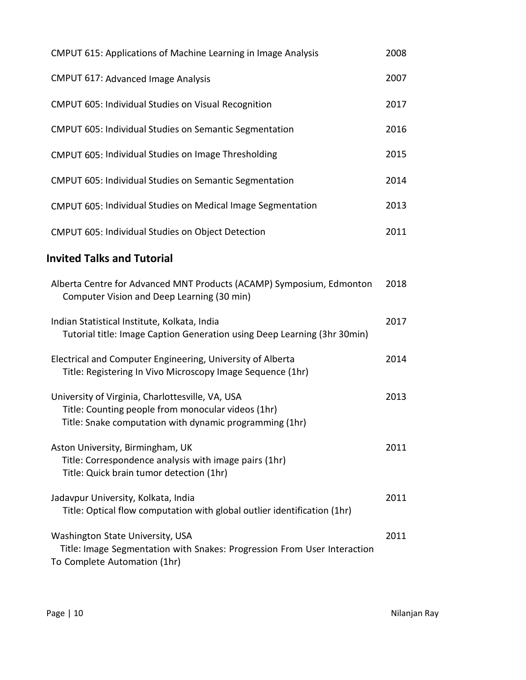| <b>CMPUT 615: Applications of Machine Learning in Image Analysis</b>                                                                                              | 2008 |
|-------------------------------------------------------------------------------------------------------------------------------------------------------------------|------|
| <b>CMPUT 617: Advanced Image Analysis</b>                                                                                                                         | 2007 |
| <b>CMPUT 605: Individual Studies on Visual Recognition</b>                                                                                                        | 2017 |
| <b>CMPUT 605: Individual Studies on Semantic Segmentation</b>                                                                                                     | 2016 |
| CMPUT 605: Individual Studies on Image Thresholding                                                                                                               | 2015 |
| <b>CMPUT 605: Individual Studies on Semantic Segmentation</b>                                                                                                     | 2014 |
| CMPUT 605: Individual Studies on Medical Image Segmentation                                                                                                       | 2013 |
| CMPUT 605: Individual Studies on Object Detection                                                                                                                 | 2011 |
| <b>Invited Talks and Tutorial</b>                                                                                                                                 |      |
| Alberta Centre for Advanced MNT Products (ACAMP) Symposium, Edmonton<br>Computer Vision and Deep Learning (30 min)                                                | 2018 |
| Indian Statistical Institute, Kolkata, India<br>Tutorial title: Image Caption Generation using Deep Learning (3hr 30min)                                          | 2017 |
| Electrical and Computer Engineering, University of Alberta<br>Title: Registering In Vivo Microscopy Image Sequence (1hr)                                          | 2014 |
| University of Virginia, Charlottesville, VA, USA<br>Title: Counting people from monocular videos (1hr)<br>Title: Snake computation with dynamic programming (1hr) | 2013 |
| Aston University, Birmingham, UK<br>Title: Correspondence analysis with image pairs (1hr)<br>Title: Quick brain tumor detection (1hr)                             | 2011 |
| Jadavpur University, Kolkata, India<br>Title: Optical flow computation with global outlier identification (1hr)                                                   | 2011 |
| Washington State University, USA<br>Title: Image Segmentation with Snakes: Progression From User Interaction<br>To Complete Automation (1hr)                      | 2011 |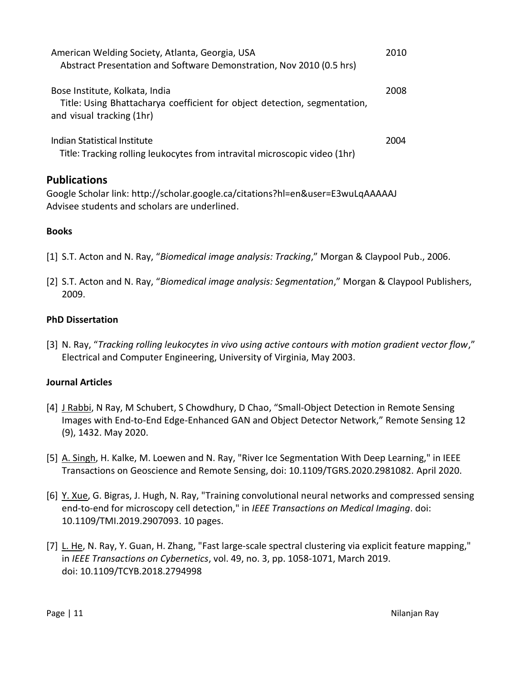| American Welding Society, Atlanta, Georgia, USA<br>Abstract Presentation and Software Demonstration, Nov 2010 (0.5 hrs)                  | 2010 |
|------------------------------------------------------------------------------------------------------------------------------------------|------|
| Bose Institute, Kolkata, India<br>Title: Using Bhattacharya coefficient for object detection, segmentation,<br>and visual tracking (1hr) | 2008 |
| Indian Statistical Institute<br>Title: Tracking rolling leukocytes from intravital microscopic video (1hr)                               | 2004 |
| <b>Publications</b><br>Google Scholar link: http://scholar.google.ca/citations?hl=en&user=E3wuLqAAAAAJ                                   |      |

**Books**

[1] S.T. Acton and N. Ray, "*Biomedical image analysis: Tracking*," Morgan & Claypool Pub., 2006.

[2] S.T. Acton and N. Ray, "*Biomedical image analysis: Segmentation*," Morgan & Claypool Publishers, 2009.

#### **PhD Dissertation**

Advisee students and scholars are underlined.

[3] N. Ray, "*Tracking rolling leukocytes in vivo using active contours with motion gradient vector flow*," Electrical and Computer Engineering, University of Virginia, May 2003.

#### **Journal Articles**

- [4] J Rabbi, N Ray, M Schubert, S Chowdhury, D Chao, "Small-Object Detection in Remote Sensing Images with End-to-End Edge-Enhanced GAN and Object Detector Network," Remote Sensing 12 (9), 1432. May 2020.
- [5] A. Singh, H. Kalke, M. Loewen and N. Ray, "River Ice Segmentation With Deep Learning," in IEEE Transactions on Geoscience and Remote Sensing, doi: 10.1109/TGRS.2020.2981082. April 2020.
- [6] Y. Xue, G. Bigras, J. Hugh, N. Ray, "Training convolutional neural networks and compressed sensing end-to-end for microscopy cell detection," in *IEEE Transactions on Medical Imaging*. doi: 10.1109/TMI.2019.2907093. 10 pages.
- [7] L. He, N. Ray, Y. Guan, H. Zhang, "Fast large-scale spectral clustering via explicit feature mapping," in *IEEE Transactions on Cybernetics*, vol. 49, no. 3, pp. 1058-1071, March 2019. doi: 10.1109/TCYB.2018.2794998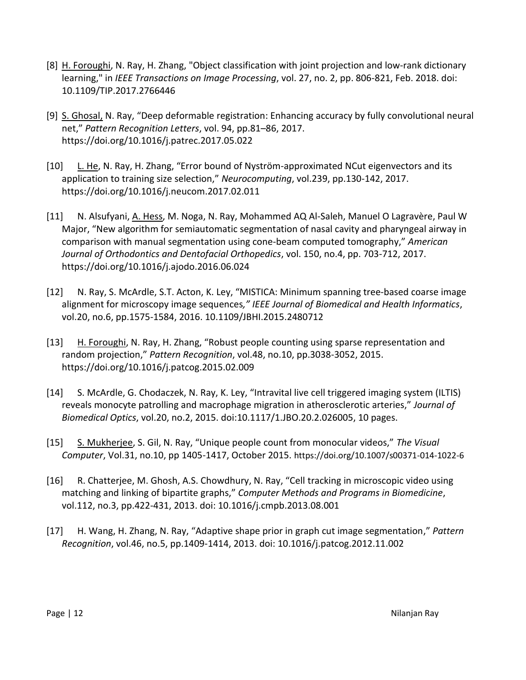- [8] H. Foroughi, N. Ray, H. Zhang, "Object classification with joint projection and low-rank dictionary learning," in *IEEE Transactions on Image Processing*, vol. 27, no. 2, pp. 806-821, Feb. 2018. doi: 10.1109/TIP.2017.2766446
- [9] S. Ghosal, N. Ray, "Deep deformable registration: Enhancing accuracy by fully convolutional neural net," *Pattern Recognition Letters*, vol. 94, pp.81–86, 2017. https://doi.org/10.1016/j.patrec.2017.05.022
- [10] L. He, N. Ray, H. Zhang, "Error bound of Nyström-approximated NCut eigenvectors and its application to training size selection," *Neurocomputing*, vol.239, pp.130-142, 2017. https://doi.org/10.1016/j.neucom.2017.02.011
- [11] N. Alsufyani, A. Hess, M. Noga, N. Ray, Mohammed AQ Al-Saleh, Manuel O Lagravère, Paul W Major, "New algorithm for semiautomatic segmentation of nasal cavity and pharyngeal airway in comparison with manual segmentation using cone-beam computed tomography," *American Journal of Orthodontics and Dentofacial Orthopedics*, vol. 150, no.4, pp. 703-712, 2017. https://doi.org/10.1016/j.ajodo.2016.06.024
- [12] N. Ray, S. McArdle, S.T. Acton, K. Ley, "MISTICA: Minimum spanning tree-based coarse image alignment for microscopy image sequences*," IEEE Journal of Biomedical and Health Informatics*, vol.20, no.6, pp.1575-1584, 2016. 10.1109/JBHI.2015.2480712
- [13] H. Foroughi, N. Ray, H. Zhang, "Robust people counting using sparse representation and random projection," *Pattern Recognition*, vol.48, no.10, pp.3038-3052, 2015. https://doi.org/10.1016/j.patcog.2015.02.009
- [14] S. McArdle, G. Chodaczek, N. Ray, K. Ley, "Intravital live cell triggered imaging system (ILTIS) reveals monocyte patrolling and macrophage migration in atherosclerotic arteries," *Journal of Biomedical Optics*, vol.20, no.2, 2015. doi:10.1117/1.JBO.20.2.026005, 10 pages.
- [15] S. Mukherjee, S. Gil, N. Ray, "Unique people count from monocular videos," *The Visual Computer*, Vol.31, no.10, pp 1405-1417, October 2015. https://doi.org/10.1007/s00371-014-1022-6
- [16] R. Chatterjee, M. Ghosh, A.S. Chowdhury, N. Ray, "Cell tracking in microscopic video using matching and linking of bipartite graphs," *Computer Methods and Programs in Biomedicine*, vol.112, no.3, pp.422-431, 2013. doi: 10.1016/j.cmpb.2013.08.001
- [17] H. Wang, H. Zhang, N. Ray, "Adaptive shape prior in graph cut image segmentation," *Pattern Recognition*, vol.46, no.5, pp.1409-1414, 2013. doi: 10.1016/j.patcog.2012.11.002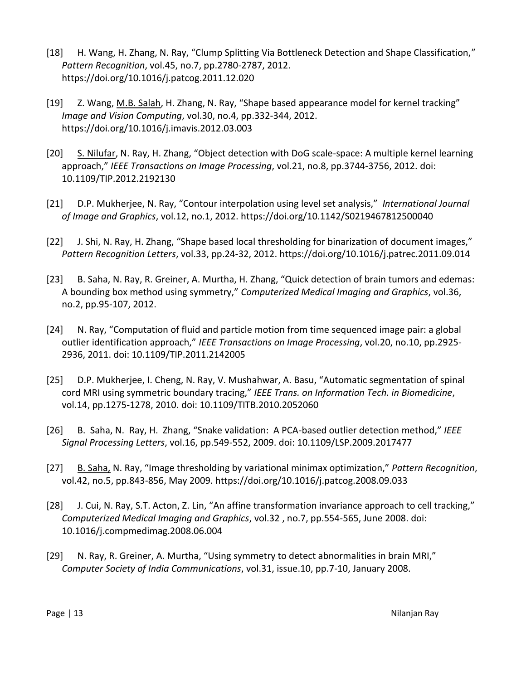- [18] H. Wang, H. Zhang, N. Ray, "Clump Splitting Via Bottleneck Detection and Shape Classification," *Pattern Recognition*, vol.45, no.7, pp.2780-2787, 2012. https://doi.org/10.1016/j.patcog.2011.12.020
- [19] Z. Wang, M.B. Salah, H. Zhang, N. Ray, "Shape based appearance model for kernel tracking" *Image and Vision Computing*, vol.30, no.4, pp.332-344, 2012. https://doi.org/10.1016/j.imavis.2012.03.003
- [20] S. Nilufar, N. Ray, H. Zhang, "Object detection with DoG scale-space: A multiple kernel learning approach," *IEEE Transactions on Image Processing*, vol.21, no.8, pp.3744-3756, 2012. doi: 10.1109/TIP.2012.2192130
- [21] D.P. Mukherjee, N. Ray, "Contour interpolation using level set analysis," *International Journal of Image and Graphics*, vol.12, no.1, 2012. https://doi.org/10.1142/S0219467812500040
- [22] J. Shi, N. Ray, H. Zhang, "Shape based local thresholding for binarization of document images," *Pattern Recognition Letters*, vol.33, pp.24-32, 2012. https://doi.org/10.1016/j.patrec.2011.09.014
- [23] B. Saha, N. Ray, R. Greiner, A. Murtha, H. Zhang, "Quick detection of brain tumors and edemas: A bounding box method using symmetry," *Computerized Medical Imaging and Graphics*, vol.36, no.2, pp.95-107, 2012.
- [24] N. Ray, "Computation of fluid and particle motion from time sequenced image pair: a global outlier identification approach," *IEEE Transactions on Image Processing*, vol.20, no.10, pp.2925- 2936, 2011. doi: 10.1109/TIP.2011.2142005
- [25] D.P. Mukherjee, I. Cheng, N. Ray, V. Mushahwar, A. Basu, "Automatic segmentation of spinal cord MRI using symmetric boundary tracing," *IEEE Trans. on Information Tech. in Biomedicine*, vol.14, pp.1275-1278, 2010. doi: 10.1109/TITB.2010.2052060
- [26] B. Saha, N. Ray, H. Zhang, "Snake validation: A PCA-based outlier detection method," *IEEE Signal Processing Letters*, vol.16, pp.549-552, 2009. doi: 10.1109/LSP.2009.2017477
- [27] B. Saha, N. Ray, "Image thresholding by variational minimax optimization," *Pattern Recognition*, vol.42, no.5, pp.843-856, May 2009. https://doi.org/10.1016/j.patcog.2008.09.033
- [28] J. Cui, N. Ray, S.T. Acton, Z. Lin, "An affine transformation invariance approach to cell tracking," *Computerized Medical Imaging and Graphics*, vol.32 , no.7, pp.554-565, June 2008. doi: 10.1016/j.compmedimag.2008.06.004
- [29] N. Ray, R. Greiner, A. Murtha, "Using symmetry to detect abnormalities in brain MRI," *Computer Society of India Communications*, vol.31, issue.10, pp.7-10, January 2008.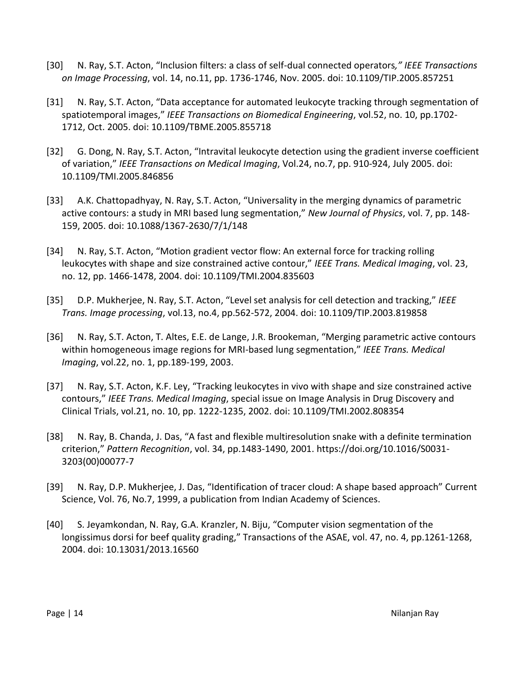- [30] N. Ray, S.T. Acton, "Inclusion filters: a class of self-dual connected operators*," IEEE Transactions on Image Processing*, vol. 14, no.11, pp. 1736-1746, Nov. 2005. doi: 10.1109/TIP.2005.857251
- [31] N. Ray, S.T. Acton, "Data acceptance for automated leukocyte tracking through segmentation of spatiotemporal images," *IEEE Transactions on Biomedical Engineering*, vol.52, no. 10, pp.1702- 1712, Oct. 2005. doi: 10.1109/TBME.2005.855718
- [32] G. Dong, N. Ray, S.T. Acton, "Intravital leukocyte detection using the gradient inverse coefficient of variation," *IEEE Transactions on Medical Imaging*, Vol.24, no.7, pp. 910-924, July 2005. doi: 10.1109/TMI.2005.846856
- [33] A.K. Chattopadhyay, N. Ray, S.T. Acton, "Universality in the merging dynamics of parametric active contours: a study in MRI based lung segmentation," *New Journal of Physics*, vol. 7, pp. 148- 159, 2005. doi: 10.1088/1367-2630/7/1/148
- [34] N. Ray, S.T. Acton, "Motion gradient vector flow: An external force for tracking rolling leukocytes with shape and size constrained active contour," *IEEE Trans. Medical Imaging*, vol. 23, no. 12, pp. 1466-1478, 2004. doi: 10.1109/TMI.2004.835603
- [35] D.P. Mukherjee, N. Ray, S.T. Acton, "Level set analysis for cell detection and tracking," *IEEE Trans. Image processing*, vol.13, no.4, pp.562-572, 2004. doi: 10.1109/TIP.2003.819858
- [36] N. Ray, S.T. Acton, T. Altes, E.E. de Lange, J.R. Brookeman, "Merging parametric active contours within homogeneous image regions for MRI-based lung segmentation," *IEEE Trans. Medical Imaging*, vol.22, no. 1, pp.189-199, 2003.
- [37] N. Ray, S.T. Acton, K.F. Ley, "Tracking leukocytes in vivo with shape and size constrained active contours," *IEEE Trans. Medical Imaging*, special issue on Image Analysis in Drug Discovery and Clinical Trials, vol.21, no. 10, pp. 1222-1235, 2002. doi: 10.1109/TMI.2002.808354
- [38] N. Ray, B. Chanda, J. Das, "A fast and flexible multiresolution snake with a definite termination criterion," *Pattern Recognition*, vol. 34, pp.1483-1490, 2001. https://doi.org/10.1016/S0031- 3203(00)00077-7
- [39] N. Ray, D.P. Mukherjee, J. Das, "Identification of tracer cloud: A shape based approach" Current Science, Vol. 76, No.7, 1999, a publication from Indian Academy of Sciences.
- [40] S. Jeyamkondan, N. Ray, G.A. Kranzler, N. Biju, "Computer vision segmentation of the longissimus dorsi for beef quality grading," Transactions of the ASAE, vol. 47, no. 4, pp.1261-1268, 2004. doi: 10.13031/2013.16560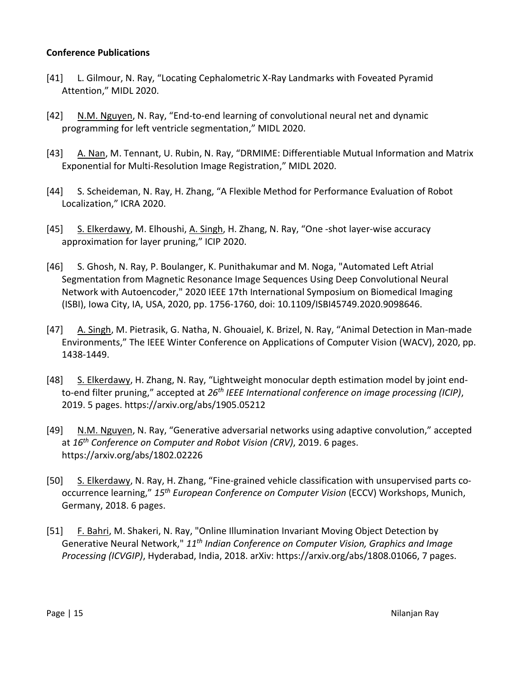#### **Conference Publications**

- [41] L. Gilmour, N. Ray, "Locating Cephalometric X-Ray Landmarks with Foveated Pyramid Attention," MIDL 2020.
- [42] N.M. Nguyen, N. Ray, "End-to-end learning of convolutional neural net and dynamic programming for left ventricle segmentation," MIDL 2020.
- [43] A. Nan, M. Tennant, U. Rubin, N. Ray, "DRMIME: Differentiable Mutual Information and Matrix Exponential for Multi-Resolution Image Registration," MIDL 2020.
- [44] S. Scheideman, N. Ray, H. Zhang, "A Flexible Method for Performance Evaluation of Robot Localization," ICRA 2020.
- [45] S. Elkerdawy, M. Elhoushi, A. Singh, H. Zhang, N. Ray, "One -shot layer-wise accuracy approximation for layer pruning," ICIP 2020.
- [46] S. Ghosh, N. Ray, P. Boulanger, K. Punithakumar and M. Noga, "Automated Left Atrial Segmentation from Magnetic Resonance Image Sequences Using Deep Convolutional Neural Network with Autoencoder," 2020 IEEE 17th International Symposium on Biomedical Imaging (ISBI), Iowa City, IA, USA, 2020, pp. 1756-1760, doi: 10.1109/ISBI45749.2020.9098646.
- [47] A. Singh, M. Pietrasik, G. Natha, N. Ghouaiel, K. Brizel, N. Ray, "Animal Detection in Man-made Environments," The IEEE Winter Conference on Applications of Computer Vision (WACV), 2020, pp. 1438-1449.
- [48] S. Elkerdawy, H. Zhang, N. Ray, "Lightweight monocular depth estimation model by joint endto-end filter pruning," accepted at *26th IEEE International conference on image processing (ICIP)*, 2019. 5 pages. https://arxiv.org/abs/1905.05212
- [49] N.M. Nguyen, N. Ray, "Generative adversarial networks using adaptive convolution," accepted at *16th Conference on Computer and Robot Vision (CRV)*, 2019. 6 pages. https://arxiv.org/abs/1802.02226
- [50] S. Elkerdawy, N. Ray, H. Zhang, "Fine-grained vehicle classification with unsupervised parts cooccurrence learning," *15th European Conference on Computer Vision* (ECCV) Workshops, Munich, Germany, 2018. 6 pages.
- [51] F. Bahri, M. Shakeri, N. Ray, "Online Illumination Invariant Moving Object Detection by Generative Neural Network," *11th Indian Conference on Computer Vision, Graphics and Image Processing (ICVGIP)*, Hyderabad, India, 2018. arXiv: https://arxiv.org/abs/1808.01066, 7 pages.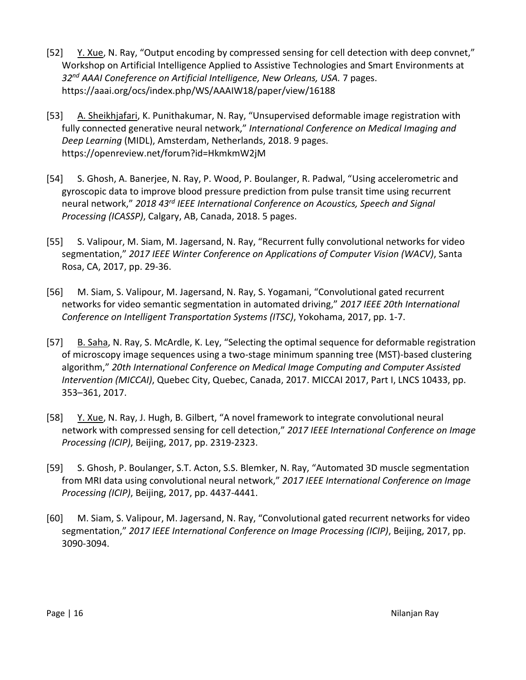- [52] Y. Xue, N. Ray, "Output encoding by compressed sensing for cell detection with deep convnet," Workshop on Artificial Intelligence Applied to Assistive Technologies and Smart Environments at *32nd AAAI Coneference on Artificial Intelligence, New Orleans, USA.* 7 pages. https://aaai.org/ocs/index.php/WS/AAAIW18/paper/view/16188
- [53] A. Sheikhjafari, K. Punithakumar, N. Ray, "Unsupervised deformable image registration with fully connected generative neural network," *International Conference on Medical Imaging and Deep Learning* (MIDL), Amsterdam, Netherlands, 2018. 9 pages. https://openreview.net/forum?id=HkmkmW2jM
- [54] S. Ghosh, A. Banerjee, N. Ray, P. Wood, P. Boulanger, R. Padwal, "Using accelerometric and gyroscopic data to improve blood pressure prediction from pulse transit time using recurrent neural network," *2018 43rd IEEE International Conference on Acoustics, Speech and Signal Processing (ICASSP)*, Calgary, AB, Canada, 2018. 5 pages.
- [55] S. Valipour, M. Siam, M. Jagersand, N. Ray, "Recurrent fully convolutional networks for video segmentation," *2017 IEEE Winter Conference on Applications of Computer Vision (WACV)*, Santa Rosa, CA, 2017, pp. 29-36.
- [56] M. Siam, S. Valipour, M. Jagersand, N. Ray, S. Yogamani, "Convolutional gated recurrent networks for video semantic segmentation in automated driving," *2017 IEEE 20th International Conference on Intelligent Transportation Systems (ITSC)*, Yokohama, 2017, pp. 1-7.
- [57] B. Saha, N. Ray, S. McArdle, K. Ley, "Selecting the optimal sequence for deformable registration of microscopy image sequences using a two-stage minimum spanning tree (MST)-based clustering algorithm," *20th International Conference on Medical Image Computing and Computer Assisted Intervention (MICCAI)*, Quebec City, Quebec, Canada, 2017. MICCAI 2017, Part I, LNCS 10433, pp. 353–361, 2017.
- [58] Y. Xue, N. Ray, J. Hugh, B. Gilbert, "A novel framework to integrate convolutional neural network with compressed sensing for cell detection," *2017 IEEE International Conference on Image Processing (ICIP)*, Beijing, 2017, pp. 2319-2323.
- [59] S. Ghosh, P. Boulanger, S.T. Acton, S.S. Blemker, N. Ray, "Automated 3D muscle segmentation from MRI data using convolutional neural network," *2017 IEEE International Conference on Image Processing (ICIP)*, Beijing, 2017, pp. 4437-4441.
- [60] M. Siam, S. Valipour, M. Jagersand, N. Ray, "Convolutional gated recurrent networks for video segmentation," *2017 IEEE International Conference on Image Processing (ICIP)*, Beijing, 2017, pp. 3090-3094.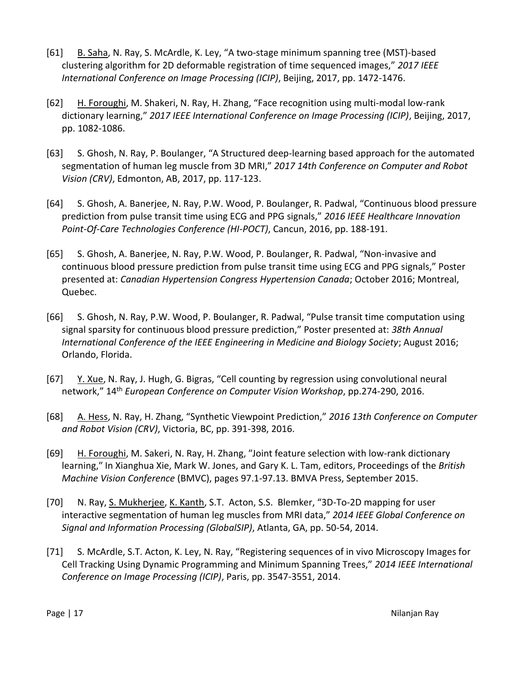- [61] B. Saha, N. Ray, S. McArdle, K. Ley, "A two-stage minimum spanning tree (MST)-based clustering algorithm for 2D deformable registration of time sequenced images," *2017 IEEE International Conference on Image Processing (ICIP)*, Beijing, 2017, pp. 1472-1476.
- [62] H. Foroughi, M. Shakeri, N. Ray, H. Zhang, "Face recognition using multi-modal low-rank dictionary learning," *2017 IEEE International Conference on Image Processing (ICIP)*, Beijing, 2017, pp. 1082-1086.
- [63] S. Ghosh, N. Ray, P. Boulanger, "A Structured deep-learning based approach for the automated segmentation of human leg muscle from 3D MRI," *2017 14th Conference on Computer and Robot Vision (CRV)*, Edmonton, AB, 2017, pp. 117-123.
- [64] S. Ghosh, A. Banerjee, N. Ray, P.W. Wood, P. Boulanger, R. Padwal, "Continuous blood pressure prediction from pulse transit time using ECG and PPG signals," *2016 IEEE Healthcare Innovation Point-Of-Care Technologies Conference (HI-POCT)*, Cancun, 2016, pp. 188-191.
- [65] S. Ghosh, A. Banerjee, N. Ray, P.W. Wood, P. Boulanger, R. Padwal, "Non-invasive and continuous blood pressure prediction from pulse transit time using ECG and PPG signals," Poster presented at: *Canadian Hypertension Congress Hypertension Canada*; October 2016; Montreal, Quebec.
- [66] S. Ghosh, N. Ray, P.W. Wood, P. Boulanger, R. Padwal, "Pulse transit time computation using signal sparsity for continuous blood pressure prediction," Poster presented at: *38th Annual International Conference of the IEEE Engineering in Medicine and Biology Society*; August 2016; Orlando, Florida.
- [67] Y. Xue, N. Ray, J. Hugh, G. Bigras, "Cell counting by regression using convolutional neural network," 14th *European Conference on Computer Vision Workshop*, pp.274-290, 2016.
- [68] A. Hess, N. Ray, H. Zhang, "Synthetic Viewpoint Prediction," *2016 13th Conference on Computer and Robot Vision (CRV)*, Victoria, BC, pp. 391-398, 2016.
- [69] H. Foroughi, M. Sakeri, N. Ray, H. Zhang, "Joint feature selection with low-rank dictionary learning,″ In Xianghua Xie, Mark W. Jones, and Gary K. L. Tam, editors, Proceedings of the *British Machine Vision Conference* (BMVC), pages 97.1-97.13. BMVA Press, September 2015.
- [70] N. Ray, S. Mukherjee, K. Kanth, S.T. Acton, S.S. Blemker, "3D-To-2D mapping for user interactive segmentation of human leg muscles from MRI data," *2014 IEEE Global Conference on Signal and Information Processing (GlobalSIP)*, Atlanta, GA, pp. 50-54, 2014.
- [71] S. McArdle, S.T. Acton, K. Ley, N. Ray, "Registering sequences of in vivo Microscopy Images for Cell Tracking Using Dynamic Programming and Minimum Spanning Trees," *2014 IEEE International Conference on Image Processing (ICIP)*, Paris, pp. 3547-3551, 2014.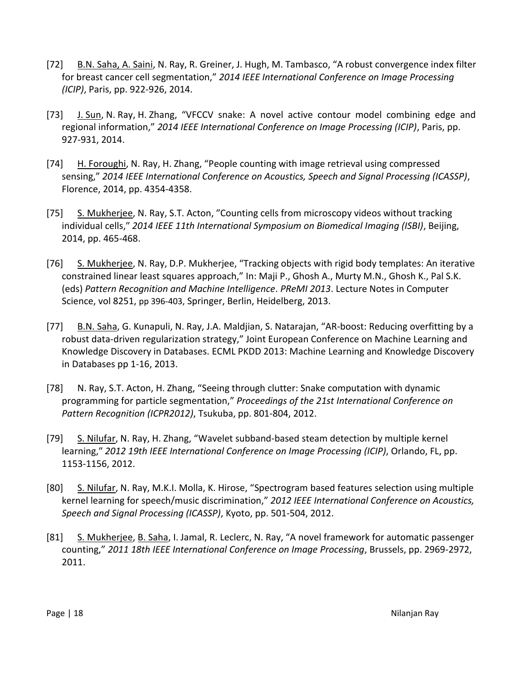- [72] B.N. Saha, A. Saini, N. Ray, R. Greiner, J. Hugh, M. Tambasco, "A robust convergence index filter for breast cancer cell segmentation," *2014 IEEE International Conference on Image Processing (ICIP)*, Paris, pp. 922-926, 2014.
- [73] J. Sun, N. Ray, H. Zhang, "VFCCV snake: A novel active contour model combining edge and regional information," *2014 IEEE International Conference on Image Processing (ICIP)*, Paris, pp. 927-931, 2014.
- [74] H. Foroughi, N. Ray, H. Zhang, "People counting with image retrieval using compressed sensing," *2014 IEEE International Conference on Acoustics, Speech and Signal Processing (ICASSP)*, Florence, 2014, pp. 4354-4358.
- [75] S. Mukherjee, N. Ray, S.T. Acton, ″Counting cells from microscopy videos without tracking individual cells,″ *2014 IEEE 11th International Symposium on Biomedical Imaging (ISBI)*, Beijing, 2014, pp. 465-468.
- [76] S. Mukherjee, N. Ray, D.P. Mukherjee, "Tracking objects with rigid body templates: An iterative constrained linear least squares approach," In: Maji P., Ghosh A., Murty M.N., Ghosh K., Pal S.K. (eds) *Pattern Recognition and Machine Intelligence*. *PReMI 2013*. Lecture Notes in Computer Science, vol 8251, pp 396-403, Springer, Berlin, Heidelberg, 2013.
- [77] B.N. Saha, G. Kunapuli, N. Ray, J.A. Maldjian, S. Natarajan, "AR-boost: Reducing overfitting by a robust data-driven regularization strategy," Joint European Conference on Machine Learning and Knowledge Discovery in Databases. ECML PKDD 2013: Machine Learning and Knowledge Discovery in Databases pp 1-16, 2013.
- [78] N. Ray, S.T. Acton, H. Zhang, "Seeing through clutter: Snake computation with dynamic programming for particle segmentation," *Proceedings of the 21st International Conference on Pattern Recognition (ICPR2012)*, Tsukuba, pp. 801-804, 2012.
- [79] S. Nilufar, N. Ray, H. Zhang, "Wavelet subband-based steam detection by multiple kernel learning,″ *2012 19th IEEE International Conference on Image Processing (ICIP)*, Orlando, FL, pp. 1153-1156, 2012.
- [80] S. Nilufar, N. Ray, M.K.I. Molla, K. Hirose, "Spectrogram based features selection using multiple kernel learning for speech/music discrimination," *2012 IEEE International Conference on Acoustics, Speech and Signal Processing (ICASSP)*, Kyoto, pp. 501-504, 2012.
- [81] S. Mukherjee, B. Saha, I. Jamal, R. Leclerc, N. Ray, "A novel framework for automatic passenger counting," *2011 18th IEEE International Conference on Image Processing*, Brussels, pp. 2969-2972, 2011.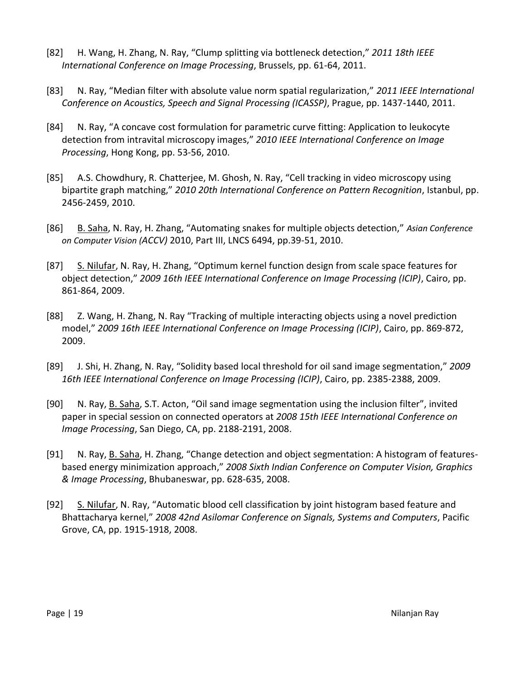- [82] H. Wang, H. Zhang, N. Ray, "Clump splitting via bottleneck detection," *2011 18th IEEE International Conference on Image Processing*, Brussels, pp. 61-64, 2011.
- [83] N. Ray, "Median filter with absolute value norm spatial regularization," *2011 IEEE International Conference on Acoustics, Speech and Signal Processing (ICASSP)*, Prague, pp. 1437-1440, 2011.
- [84] N. Ray, "A concave cost formulation for parametric curve fitting: Application to leukocyte detection from intravital microscopy images," *2010 IEEE International Conference on Image Processing*, Hong Kong, pp. 53-56, 2010.
- [85] A.S. Chowdhury, R. Chatterjee, M. Ghosh, N. Ray, "Cell tracking in video microscopy using bipartite graph matching," *2010 20th International Conference on Pattern Recognition*, Istanbul, pp. 2456-2459, 2010.
- [86] B. Saha, N. Ray, H. Zhang, "Automating snakes for multiple objects detection," *Asian Conference on Computer Vision (ACCV)* 2010, Part III, LNCS 6494, pp.39-51, 2010.
- [87] S. Nilufar, N. Ray, H. Zhang, "Optimum kernel function design from scale space features for object detection," *2009 16th IEEE International Conference on Image Processing (ICIP)*, Cairo, pp. 861-864, 2009.
- [88] Z. Wang, H. Zhang, N. Ray "Tracking of multiple interacting objects using a novel prediction model," *2009 16th IEEE International Conference on Image Processing (ICIP)*, Cairo, pp. 869-872, 2009.
- [89] J. Shi, H. Zhang, N. Ray, "Solidity based local threshold for oil sand image segmentation," *2009 16th IEEE International Conference on Image Processing (ICIP)*, Cairo, pp. 2385-2388, 2009.
- [90] N. Ray, **B. Saha**, S.T. Acton, "Oil sand image segmentation using the inclusion filter", invited paper in special session on connected operators at *2008 15th IEEE International Conference on Image Processing*, San Diego, CA, pp. 2188-2191, 2008.
- [91] N. Ray, B. Saha, H. Zhang, "Change detection and object segmentation: A histogram of featuresbased energy minimization approach," *2008 Sixth Indian Conference on Computer Vision, Graphics & Image Processing*, Bhubaneswar, pp. 628-635, 2008.
- [92] S. Nilufar, N. Ray, "Automatic blood cell classification by joint histogram based feature and Bhattacharya kernel," *2008 42nd Asilomar Conference on Signals, Systems and Computers*, Pacific Grove, CA, pp. 1915-1918, 2008.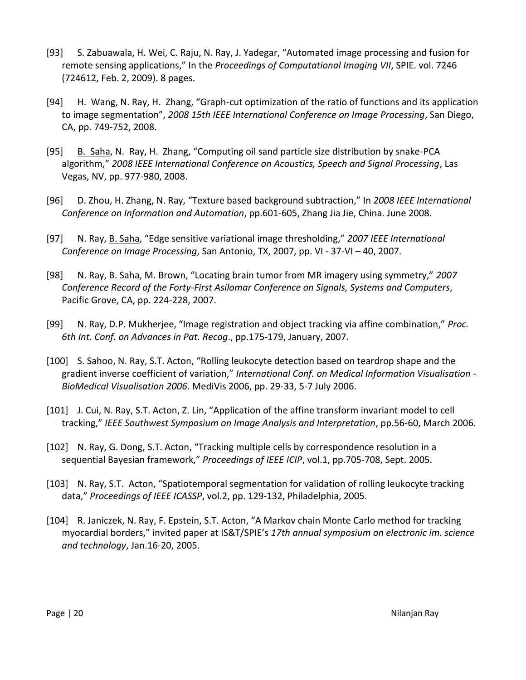- [93] S. Zabuawala, H. Wei, C. Raju, N. Ray, J. Yadegar, "Automated image processing and fusion for remote sensing applications," In the *Proceedings of Computational Imaging VII*, SPIE. vol. 7246 (724612, Feb. 2, 2009). 8 pages.
- [94] H. Wang, N. Ray, H. Zhang, "Graph-cut optimization of the ratio of functions and its application to image segmentation", *2008 15th IEEE International Conference on Image Processing*, San Diego, CA, pp. 749-752, 2008.
- [95] B. Saha, N. Ray, H. Zhang, "Computing oil sand particle size distribution by snake-PCA algorithm," *2008 IEEE International Conference on Acoustics, Speech and Signal Processing*, Las Vegas, NV, pp. 977-980, 2008.
- [96] D. Zhou, H. Zhang, N. Ray, "Texture based background subtraction," In *2008 IEEE International Conference on Information and Automation*, pp.601-605, Zhang Jia Jie, China. June 2008.
- [97] N. Ray, B. Saha, "Edge sensitive variational image thresholding," *2007 IEEE International Conference on Image Processing*, San Antonio, TX, 2007, pp. VI - 37-VI – 40, 2007.
- [98] N. Ray, B. Saha, M. Brown, "Locating brain tumor from MR imagery using symmetry," *2007 Conference Record of the Forty-First Asilomar Conference on Signals, Systems and Computers*, Pacific Grove, CA, pp. 224-228, 2007.
- [99] N. Ray, D.P. Mukherjee, "Image registration and object tracking via affine combination," *Proc. 6th Int. Conf. on Advances in Pat. Recog*., pp.175-179, January, 2007.
- [100] S. Sahoo, N. Ray, S.T. Acton, "Rolling leukocyte detection based on teardrop shape and the gradient inverse coefficient of variation," *International Conf. on Medical Information Visualisation - BioMedical Visualisation 2006*. MediVis 2006, pp. 29-33, 5-7 July 2006.
- [101] J. Cui, N. Ray, S.T. Acton, Z. Lin, "Application of the affine transform invariant model to cell tracking," *IEEE Southwest Symposium on Image Analysis and Interpretation*, pp.56-60, March 2006.
- [102] N. Ray, G. Dong, S.T. Acton, "Tracking multiple cells by correspondence resolution in a sequential Bayesian framework," *Proceedings of IEEE ICIP*, vol.1, pp.705-708, Sept. 2005.
- [103] N. Ray, S.T. Acton, "Spatiotemporal segmentation for validation of rolling leukocyte tracking data," *Proceedings of IEEE ICASSP*, vol.2, pp. 129-132, Philadelphia, 2005.
- [104] R. Janiczek, N. Ray, F. Epstein, S.T. Acton, "A Markov chain Monte Carlo method for tracking myocardial borders," invited paper at IS&T/SPIE's *17th annual symposium on electronic im. science and technology*, Jan.16-20, 2005.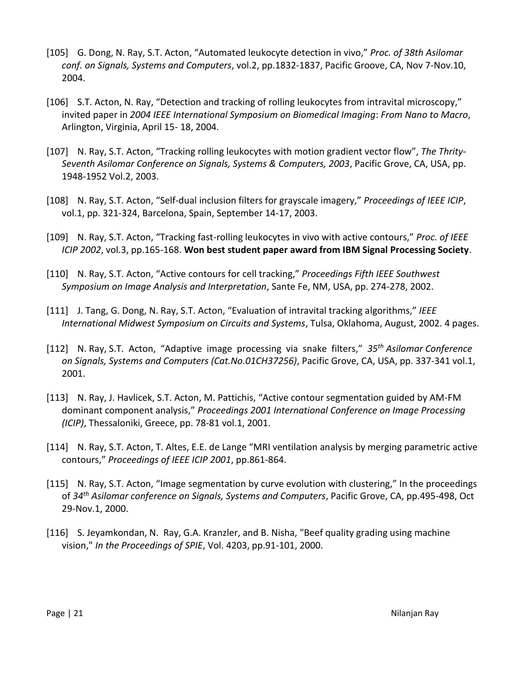- [105] G. Dong, N. Ray, S.T. Acton, "Automated leukocyte detection in vivo," *Proc. of 38th Asilomar conf. on Signals, Systems and Computers*, vol.2, pp.1832-1837, Pacific Groove, CA, Nov 7-Nov.10, 2004.
- [106] S.T. Acton, N. Ray, "Detection and tracking of rolling leukocytes from intravital microscopy," invited paper in *2004 IEEE International Symposium on Biomedical Imaging*: *From Nano to Macro*, Arlington, Virginia, April 15- 18, 2004.
- [107] N. Ray, S.T. Acton, "Tracking rolling leukocytes with motion gradient vector flow", *The Thrity-Seventh Asilomar Conference on Signals, Systems & Computers, 2003*, Pacific Grove, CA, USA, pp. 1948-1952 Vol.2, 2003.
- [108] N. Ray, S.T. Acton, "Self-dual inclusion filters for grayscale imagery," *Proceedings of IEEE ICIP*, vol.1, pp. 321-324, Barcelona, Spain, September 14-17, 2003.
- [109] N. Ray, S.T. Acton, "Tracking fast-rolling leukocytes in vivo with active contours," *Proc. of IEEE ICIP 2002*, vol.3, pp.165-168. **Won best student paper award from IBM Signal Processing Society**.
- [110] N. Ray, S.T. Acton, "Active contours for cell tracking," *Proceedings Fifth IEEE Southwest Symposium on Image Analysis and Interpretation*, Sante Fe, NM, USA, pp. 274-278, 2002.
- [111] J. Tang, G. Dong, N. Ray, S.T. Acton, "Evaluation of intravital tracking algorithms," *IEEE International Midwest Symposium on Circuits and Systems*, Tulsa, Oklahoma, August, 2002. 4 pages.
- [112] N. Ray, S.T. Acton, "Adaptive image processing via snake filters," *35th Asilomar Conference on Signals, Systems and Computers (Cat.No.01CH37256)*, Pacific Grove, CA, USA, pp. 337-341 vol.1, 2001.
- [113] N. Ray, J. Havlicek, S.T. Acton, M. Pattichis, "Active contour segmentation guided by AM-FM dominant component analysis," *Proceedings 2001 International Conference on Image Processing (ICIP)*, Thessaloniki, Greece, pp. 78-81 vol.1, 2001.
- [114] N. Ray, S.T. Acton, T. Altes, E.E. de Lange "MRI ventilation analysis by merging parametric active contours," *Proceedings of IEEE ICIP 2001*, pp.861-864.
- [115] N. Ray, S.T. Acton, "Image segmentation by curve evolution with clustering," In the proceedings of *34th Asilomar conference on Signals, Systems and Computers*, Pacific Grove, CA, pp.495-498, Oct 29-Nov.1, 2000.
- [116] S. Jeyamkondan, N. Ray, G.A. Kranzler, and B. Nisha, "Beef quality grading using machine vision," *In the Proceedings of SPIE*, Vol. 4203, pp.91-101, 2000.